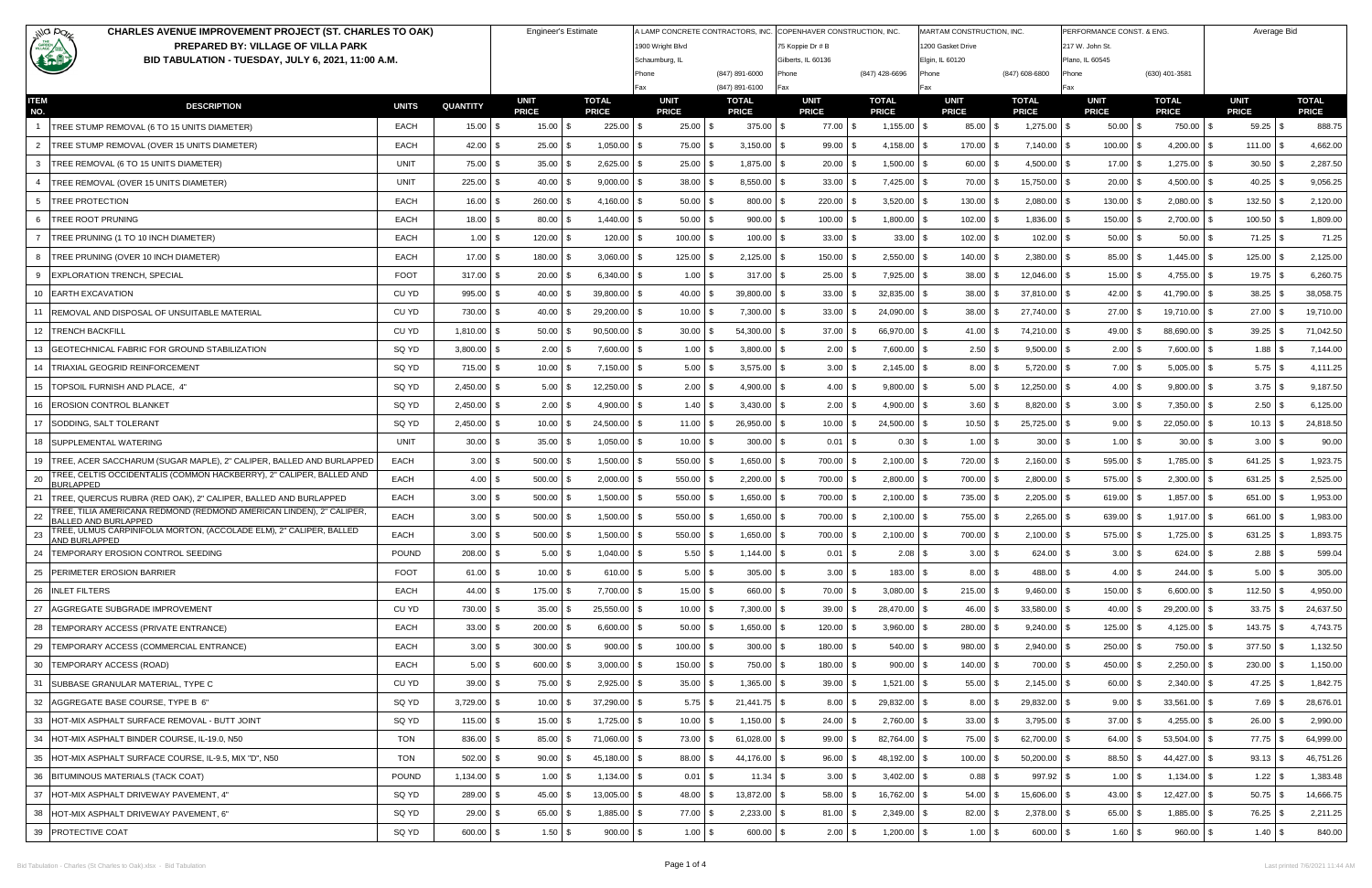| illa pazz<br><b>CHARLES AVENUE IMPROVEMENT PROJECT (ST. CHARLES TO OAK)</b>                                      |              | <b>Engineer's Estimate</b> |                             | A LAMP CONCRETE CONTRACTORS, INC. COPENHAVER CONSTRUCTION, INC. |                                    |                              |                                        | MARTAM CONSTRUCTION, INC.    |                                     | PERFORMANCE CONST. & ENG     |                                    | Average Bid                  |                             |                              |  |
|------------------------------------------------------------------------------------------------------------------|--------------|----------------------------|-----------------------------|-----------------------------------------------------------------|------------------------------------|------------------------------|----------------------------------------|------------------------------|-------------------------------------|------------------------------|------------------------------------|------------------------------|-----------------------------|------------------------------|--|
| <b>CARDEN</b><br><b>PREPARED BY: VILLAGE OF VILLA PARK</b><br>BID TABULATION - TUESDAY, JULY 6, 2021, 11:00 A.M. |              |                            |                             |                                                                 | 1900 Wright Blvd<br>Schaumburg, IL |                              | 75 Koppie Dr # B<br>Gilberts, IL 60136 |                              | 200 Gasket Drive<br>Elgin, IL 60120 |                              | 217 W. John St.<br>Plano, IL 60545 |                              |                             |                              |  |
|                                                                                                                  |              |                            |                             |                                                                 | Phone                              | (847) 891-6000               | <sup>&gt;</sup> hone                   | (847) 428-6696               | Phone                               | (847) 608-6800               | Phone                              | (630) 401-3581               |                             |                              |  |
|                                                                                                                  |              |                            |                             |                                                                 | Fax                                | (847) 891-6100               | Fax                                    |                              | Fax                                 |                              | Fax                                |                              |                             |                              |  |
| <b>ITEM</b><br><b>DESCRIPTION</b><br>NO.                                                                         | <b>UNITS</b> | <b>QUANTITY</b>            | <b>UNIT</b><br><b>PRICE</b> | <b>TOTAL</b><br><b>PRICE</b>                                    | <b>UNIT</b><br><b>PRICE</b>        | <b>TOTAL</b><br><b>PRICE</b> | <b>UNIT</b><br><b>PRICE</b>            | <b>TOTAL</b><br><b>PRICE</b> | <b>UNIT</b><br><b>PRICE</b>         | <b>TOTAL</b><br><b>PRICE</b> | <b>UNIT</b><br><b>PRICE</b>        | <b>TOTAL</b><br><b>PRICE</b> | <b>UNIT</b><br><b>PRICE</b> | <b>TOTAL</b><br><b>PRICE</b> |  |
| TREE STUMP REMOVAL (6 TO 15 UNITS DIAMETER)                                                                      | EACH         | $15.00$ \$                 | $15.00$ \ \$                | $225.00$ \$                                                     | $25.00$ \ \$                       | $375.00$ \$                  | 77.00 \$                               | $1,155.00$ \\$               | 85.00 \$                            | $1,275.00$ \ \$              | $50.00$ \$                         | 750.00 \$                    | 59.25                       | 888.75                       |  |
| TREE STUMP REMOVAL (OVER 15 UNITS DIAMETER)<br>2                                                                 | EACH         | $42.00$ \ \;               | 25.00                       | 1,050.00                                                        | 75.00                              | $3,150.00$ \$                | 99.00                                  | 4,158.00                     | 170.00<br>\$.                       | $7,140.00$ \ \$              | 100.00<br>- \$                     | 4,200.00                     | 111.00                      | 4,662.00                     |  |
| TREE REMOVAL (6 TO 15 UNITS DIAMETER)<br>3                                                                       | <b>UNIT</b>  | 75.00                      | 35.00                       | 2,625.00                                                        | 25.00                              | $1,875.00$ \ \$              | 20.00                                  | 1,500.00                     | 60.00                               | $4,500.00$ \$                | 17.00                              | 1,275.00                     | 30.50                       | 2,287.50                     |  |
| TREE REMOVAL (OVER 15 UNITS DIAMETER)                                                                            | <b>UNIT</b>  | $225.00$ \$                | 40.00                       | $9,000.00$ $\mid$ 3                                             | 38.00                              | $8,550.00$ \$                | 33.00                                  | 7,425.00                     | 70.00<br>\$.                        | 15,750.00 \$                 | 20.00<br>∣\$                       | 4,500.00                     | 40.25                       | 9,056.25                     |  |
| <b>TREE PROTECTION</b><br>5                                                                                      | EACH         | $16.00$ \\$                | 260.00                      | $4,160.00$ \$                                                   | 50.00                              | $800.00$ \$                  | 220.00                                 | 3,520.00                     | $130.00$ \$<br>\$.                  | 2,080.00                     | 130.00<br>-\$<br>-\$               | 2,080.00                     | 132.50                      | 2,120.00                     |  |
| <b>TREE ROOT PRUNING</b>                                                                                         | EACH         | $18.00$ \$                 | 80.00                       | 1,440.00                                                        | $50.00$ \ \$                       | $900.00$ \$                  | 100.00                                 | 1,800.00                     | $102.00$ \$                         | $1,836.00$ \$                | 150.00<br>l \$                     | 2,700.00                     | 100.50                      | 1,809.00                     |  |
| TREE PRUNING (1 TO 10 INCH DIAMETER)                                                                             | EACH         | $1.00$ \$                  | 120.00                      | 120.00                                                          | 100.00                             | $100.00$ \$                  | 33.00                                  | 33.00                        | $102.00$ \$                         | 102.00                       | 50.00<br>- \$<br>- \$              | 50.00                        | 71.25                       | 71.25                        |  |
| TREE PRUNING (OVER 10 INCH DIAMETER)                                                                             | EACH         | $17.00$ \$                 | 180.00                      | $3,060.00$ \$                                                   | 125.00                             | $2,125.00$ \$                | 150.00                                 | 2,550.00                     | $140.00$ \ \$<br>\$.                | 2,380.00 \$                  | 85.00 \$                           | 1,445.00                     | 125.00<br>l \$              | 2,125.00                     |  |
| 9 EXPLORATION TRENCH, SPECIAL                                                                                    | <b>FOOT</b>  | $317.00$ \$                | 20.00                       | $6,340.00$ \$                                                   | $1.00$ \ \$                        | $317.00$ \$                  | 25.00                                  | 7,925.00                     | $38.00$ \ \$<br>\$.                 | 12,046.00 \$                 | $15.00$ \$                         | 4,755.00                     | $19.75$ \$                  | 6,260.75                     |  |
| 10 EARTH EXCAVATION                                                                                              | CU YD        | 995.00                     | 40.00                       | 39,800.00                                                       | 40.00                              | $39,800.00$ \$               | 33.00                                  | 32,835.00                    | $38.00$ \$                          | 37,810.00 \$                 | $42.00$ \$                         | 41,790.00                    | 38.25                       | 38,058.75                    |  |
| 11 REMOVAL AND DISPOSAL OF UNSUITABLE MATERIAL                                                                   | CU YD        | 730.00                     | 40.00                       | 29,200.00                                                       | 10.00                              | 7,300.00 \$                  | 33.00                                  | 24,090.00                    | 38.00<br>\$.                        | 27,740.00                    | 27.00<br>- \$<br>- \$              | 19,710.00                    | 27.00                       | 19,710.00                    |  |
| 12   TRENCH BACKFILL                                                                                             | CU YD        | 1,810.00 \$                | 50.00                       | 90,500.00                                                       | 30.00                              | $54,300.00$ \$               | 37.00                                  | 66,970.00                    | $41.00$ \$                          | 74,210.00 \$                 | $49.00$ \$                         | 88,690.00                    | 39.25                       | 71,042.50                    |  |
| 13 GEOTECHNICAL FABRIC FOR GROUND STABILIZATION                                                                  | SQ YD        | $3,800.00$ \$              | 2.00                        | $7,600.00$ \ \$                                                 | $1.00$ \$                          | $3,800.00$ \$                | 2.00                                   | 7,600.00                     | $2.50$ \$<br>\$.                    | $9,500.00$ \$                | $2.00$ \$                          | 7,600.00                     | 1.88<br>- SS                | 7,144.00                     |  |
| 14   TRIAXIAL GEOGRID REINFORCEMENT                                                                              | SQ YD        | 715.00 \$                  | 10.00                       | 7,150.00                                                        | $5.00$ \$                          | $3,575.00$ \$                | $3.00$ \$                              | 2,145.00                     | $8.00$ \$<br>\$.                    | $5,720.00$ \$                | $7.00$ \$                          | 5,005.00                     | $5.75$ \\$                  | 4,111.25                     |  |
| 15   TOPSOIL FURNISH AND PLACE, 4'                                                                               | SQ YD        | 2,450.00                   | 5.00                        | 12,250.00                                                       | 2.00                               | $4,900.00$ \$                | $4.00$ \$                              | 9,800.00                     | $5.00$ \$<br>\$.                    | 12,250.00                    | $4.00$ \$                          | 9,800.00                     | $3.75$ \$                   | 9,187.50                     |  |
| 16   EROSION CONTROL BLANKET                                                                                     | SQ YD        | $2,450.00$ \$              | 2.00                        | 4,900.00                                                        | $1.40$ \$                          | $3,430.00$ \$                | $2.00$ \$                              | 4,900.00                     | $3.60$ \$<br>\$.                    | 8,820.00 \$                  | $3.00$ \$                          | 7,350.00                     | $2.50$ \$                   | 6,125.00                     |  |
| SODDING, SALT TOLERANT<br>17                                                                                     | SQ YD        | $2,450.00$ \$              | 10.00                       | 24,500.00 \$                                                    | 11.00                              | 26,950.00 \$                 | 10.00                                  | 24,500.00                    | 10.50<br>\$.                        | $25,725.00$ \\$              | $9.00$ \$                          | 22,050.00                    | $10.13$ \$                  | 24,818.50                    |  |
| 18   SUPPLEMENTAL WATERING                                                                                       | <b>UNIT</b>  | 30.00                      | 35.00                       | 1,050.00                                                        | 10.00                              | $300.00$ \$                  | 0.01                                   | 0.30<br>-S                   | $1.00$ \$<br>\$.                    | 30.00                        | $1.00$ \$<br>-\$                   | 30.00                        | $3.00$ \$                   | 90.00                        |  |
| 19 TREE, ACER SACCHARUM (SUGAR MAPLE), 2" CALIPER, BALLED AND BURLAPPED                                          | EACH         | 3.00                       | 500.00                      | 1,500.00                                                        | 550.00                             | $1,650.00$ \$                | 700.00                                 | 2,100.00                     | 720.00<br>\$                        | 2,160.00                     | 595.00<br>- \$<br>- \$             | 1,785.00                     | 641.25                      | 1,923.75                     |  |
| TREE, CELTIS OCCIDENTALIS (COMMON HACKBERRY), 2" CALIPER, BALLED AND<br>20<br><b>BURLAPPED</b>                   | <b>EACH</b>  | 4.00                       | 500.00                      | 2,000.00                                                        | 550.00                             | $2,200.00$ \$                | 700.00                                 | 2,800.00                     | 700.00                              | 2,800.00                     | 575.00                             | 2,300.00                     | 631.25                      | 2,525.00                     |  |
| TREE, QUERCUS RUBRA (RED OAK), 2" CALIPER, BALLED AND BURLAPPED<br>21                                            | <b>EACH</b>  | 3.00                       | 500.00                      | 1,500.00                                                        | 550.00                             | $1,650.00$ \ \$              | 700.00                                 | 2,100.00                     | 735.00<br>\$.                       | 2,205.00                     | 619.00<br>-\$                      | 1,857.00                     | 651.00                      | 1,953.00                     |  |
| TREE, TILIA AMERICANA REDMOND (REDMOND AMERICAN LINDEN), 2" CALIPER,<br>22<br><b>BALLED AND BURLAPPED</b>        | <b>EACH</b>  | $3.00$ \ \$                | 500.00                      | 1,500.00                                                        | 550.00                             | $1,650.00$ \$                | 700.00                                 | 2,100.00                     | 755.00 \$                           | 2,265.00                     | 639.00<br>- \$                     | 1,917.00                     | 661.00 \$                   | 1,983.00                     |  |
| TREE, ULMUS CARPINIFOLIA MORTON, (ACCOLADE ELM), 2" CALIPER, BALLED<br>23<br>AND BURLAPPED                       | EACH         | $3.00$ \$                  | $500.00$ \$                 | $1,500.00$ \$                                                   | $550.00$ \$                        | $1,650.00$ \$                | $700.00$ \$                            | $2,100.00$ \$                | 700.00 \$                           | $2,100.00$ \$                | 575.00 \$                          | $1,725.00$ \$                | $631.25$ \$                 | 1,893.75                     |  |
| 24 TEMPORARY EROSION CONTROL SEEDING                                                                             | <b>POUND</b> | 208.00 \$                  | $5.00$ \$                   | $1,040.00$ \$                                                   | $5.50$ \$                          | $1,144.00$ \$                | $0.01$ \$                              | $2.08$ \$                    | $3.00$ \$                           | 624.00 \$                    | $3.00$ \$                          | 624.00 \$                    | $2.88$ \$                   | 599.04                       |  |
| 25 PERIMETER EROSION BARRIER                                                                                     | <b>FOOT</b>  | 61.00 \$                   | $10.00$ \$                  | $610.00$ \$                                                     | $5.00$ \ \$                        | $305.00$ \$                  | $3.00$ \$                              | $183.00$ \$                  | $8.00$ \$                           | 488.00 \$                    | $4.00$ \$                          | $244.00$ \ \$                | $5.00$ \$                   | 305.00                       |  |
| 26   INLET FILTERS                                                                                               | EACH         | $44.00$ \ \$               | 175.00                      | $7,700.00$ \ \$                                                 |                                    | 660.00 \$                    | $70.00$ \ \$                           | 3,080.00                     | \$<br>$215.00$ \ \$                 | $9,460.00$ \\$               | $150.00$ \$                        | $6,600.00$ \$                | $112.50$ \$                 | 4,950.00                     |  |
| 27 AGGREGATE SUBGRADE IMPROVEMENT                                                                                | CU YD        | 730.00 \$                  | $35.00$ \ \$                | 25,550.00 \$                                                    | $10.00$ \ \$                       | 7,300.00 \$                  | 39.00                                  | 28,470.00                    | $46.00$ \$<br>\$.                   | $33,580.00$ \$               | $40.00$ \$                         | 29,200.00                    | $33.75$ \\$                 | 24,637.50                    |  |
| 28 TEMPORARY ACCESS (PRIVATE ENTRANCE)                                                                           | EACH         | 33.00 \$                   | 200.00                      | $6,600.00$ \$                                                   | $50.00$ \ \$                       | $1,650.00$ \$                | $120.00$ \$                            | 3,960.00                     | $280.00$ \ \$<br>-\$                | $9,240.00$ \$                | 125.00 \$                          | $4,125.00$ \$                | $143.75$ \$                 | 4,743.75                     |  |
| 29 TEMPORARY ACCESS (COMMERCIAL ENTRANCE)                                                                        | EACH         | $3.00$ \$                  | $300.00$ \$                 | $900.00$ \$                                                     | $100.00$ \$                        | $300.00$ \$                  | $180.00$ \$                            | $540.00$ \$                  | $980.00$ \$                         | 2,940.00 \$                  | $250.00$ \$                        | 750.00 \$                    | $377.50$ \$                 | 1,132.50                     |  |
| 30   TEMPORARY ACCESS (ROAD)                                                                                     | EACH         | $5.00$ \$                  | 600.00                      | $3,000.00$ \$                                                   | $150.00$ \$                        | 750.00 \$                    | $180.00$ \$                            | $900.00$ \$                  | $140.00$ \$                         | 700.00 \$                    | 450.00 \$                          | $2,250.00$ \$                | $230.00$ \$                 | 1,150.00                     |  |
| 31 SUBBASE GRANULAR MATERIAL, TYPE C                                                                             | CU YD        | $39.00$ \ \$               | 75.00 \$                    | $2,925.00$ \$                                                   | $35.00$ \ \$                       | 1,365.00 \$                  | $39.00$ \$                             | $1,521.00$ \$                | 55.00 \$                            | $2,145.00$ \\$               | $60.00$ \$                         | $2,340.00$ \$                | $47.25$ \$                  | 1,842.75                     |  |
| 32 AGGREGATE BASE COURSE, TYPE B 6"                                                                              | SQ YD        | $3,729.00$ \$              | 10.00                       | $37,290.00$ \$                                                  | $5.75$ \$                          | $21,441.75$ \$               | $8.00$ \$                              | 29,832.00 \$                 | $8.00$ \$                           | 29,832.00 \$                 | $9.00$ \$                          | $33,561.00$ \$               | $7.69$ \$                   | 28,676.01                    |  |
| 33 HOT-MIX ASPHALT SURFACE REMOVAL - BUTT JOINT                                                                  | SQ YD        | $115.00$ \$                | $15.00$ \$                  | $1,725.00$ \$                                                   | $10.00$ \$                         | $1,150.00$ \$                | $24.00$ \$                             | $2,760.00$ \$                | $33.00$ \$                          | $3,795.00$ \$                | $37.00$ \$                         | $4,255.00$ \$                | $26.00$ \$                  | 2,990.00                     |  |
| 34 HOT-MIX ASPHALT BINDER COURSE, IL-19.0, N50                                                                   | <b>TON</b>   | 836.00 \$                  | $85.00$ \$                  | 71,060.00 \$                                                    | $73.00$ \ \ \$                     | $61,028.00$ \$               | 99.00 \$                               | 82,764.00 \$                 | 75.00 \$                            | $62,700.00$ \$               | $64.00$ \$                         | 53,504.00 \$                 | $77.75$ \$                  | 64,999.00                    |  |
| 35 HOT-MIX ASPHALT SURFACE COURSE, IL-9.5, MIX "D", N50                                                          | <b>TON</b>   | $502.00$ \$                | 90.00                       | $45,180.00$ \$                                                  | $88.00$ \ \$                       | 44,176.00 \$                 | 96.00                                  | 48,192.00<br>l Si            | $100.00$ \$<br>\$                   | $50,200.00$ \$               | 88.50 \$                           | 44,427.00 \$                 | $93.13$ \$                  | 46,751.26                    |  |
| 36 BITUMINOUS MATERIALS (TACK COAT)                                                                              | <b>POUND</b> | $1,134.00$ \$              | $1.00$ \$                   | $1,134.00$ \$                                                   | 0.01                               | $11.34$ \$                   | $3.00$ \$                              | $3,402.00$ \$                |                                     | $997.92$ \$                  | $1.00$ \$                          | $1,134.00$ \ \$              |                             | 1,383.48                     |  |
| 37 HOT-MIX ASPHALT DRIVEWAY PAVEMENT, 4"                                                                         | SQ YD        | $289.00$ \$                | 45.00                       | 13,005.00 \$                                                    | 48.00                              | 13,872.00 \$                 | 58.00                                  | 16,762.00                    | $54.00$ \$<br>\$.                   | 15,606.00 \$                 | $43.00$ \$                         | $12,427.00$ \$               | $50.75$ \$                  | 14,666.75                    |  |
| 38 HOT-MIX ASPHALT DRIVEWAY PAVEMENT, 6"                                                                         | SQ YD        | $29.00$ \$                 | 65.00 \$                    | 1,885.00 \$                                                     | $77.00$ \$                         | $2,233.00$ \$                | 81.00 \$                               | 2,349.00                     | 82.00 \$<br>\$                      | 2,378.00 \$                  | 65.00 \$                           | 1,885.00 \$                  | 76.25 \$                    | 2,211.25                     |  |
| 39 PROTECTIVE COAT                                                                                               | SQ YD        | 600.00 \$                  | $1.50$ \$                   | $900.00$ \$                                                     | $1.00$ \$                          | 600.00 \$                    | $2.00$ \$                              | $1,200.00$ \$                | $1.00$ \$                           | 600.00 \$                    | $1.60$ \$                          | 960.00 \$                    | $1.40$ \$                   | 840.00                       |  |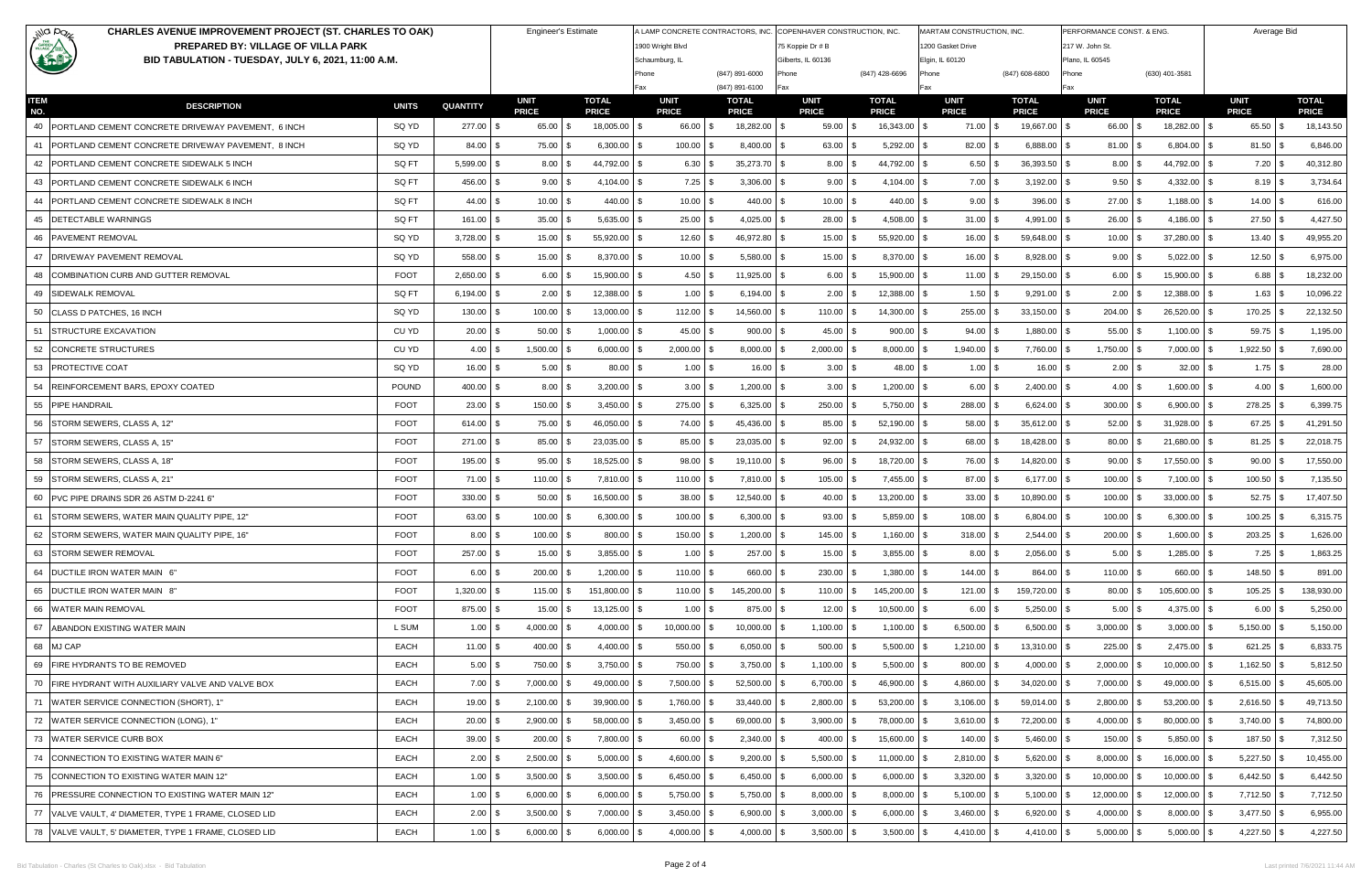| illa po <sub>r</sub><br><b>CHARLES AVENUE IMPROVEMENT PROJECT (ST. CHARLES TO OAK)</b>                    |              | <b>Engineer's Estimate</b> |                             |                              |                             | A LAMP CONCRETE CONTRACTORS, INC. COPENHAVER CONSTRUCTION, INC. |                      | MARTAM CONSTRUCTION, INC.<br>1200 Gasket Drive |                             | PERFORMANCE CONST. & ENG.    |                                    | Average Bid                  |                             |                              |
|-----------------------------------------------------------------------------------------------------------|--------------|----------------------------|-----------------------------|------------------------------|-----------------------------|-----------------------------------------------------------------|----------------------|------------------------------------------------|-----------------------------|------------------------------|------------------------------------|------------------------------|-----------------------------|------------------------------|
| <b>CARDEN</b><br>PREPARED BY: VILLAGE OF VILLA PARK<br>BID TABULATION - TUESDAY, JULY 6, 2021, 11:00 A.M. |              |                            |                             |                              |                             | 1900 Wright Blvd<br>Schaumburg, IL                              |                      | 75 Koppie Dr # B<br>Gilberts, IL 60136         |                             |                              | 217 W. John St.<br>Plano, IL 60545 |                              |                             |                              |
|                                                                                                           |              |                            |                             |                              | Phone                       | (847) 891-6000                                                  | hone?                | (847) 428-6696                                 | Elgin, IL 60120<br>Phone    | (847) 608-6800               | Phone                              | (630) 401-3581               |                             |                              |
|                                                                                                           |              |                            |                             |                              | Fax                         | (847) 891-6100                                                  | Fax                  |                                                | Fax                         | Fax                          |                                    |                              |                             |                              |
| <b>ITEM</b><br><b>DESCRIPTION</b><br>NO.                                                                  | <b>UNITS</b> | <b>QUANTITY</b>            | <b>UNIT</b><br><b>PRICE</b> | <b>TOTAL</b><br><b>PRICE</b> | <b>UNIT</b><br><b>PRICE</b> | <b>TOTAL</b><br><b>PRICE</b>                                    | UNIT<br><b>PRICE</b> | <b>TOTAL</b><br><b>PRICE</b>                   | <b>UNIT</b><br><b>PRICE</b> | <b>TOTAL</b><br><b>PRICE</b> | <b>UNIT</b><br><b>PRICE</b>        | <b>TOTAL</b><br><b>PRICE</b> | <b>UNIT</b><br><b>PRICE</b> | <b>TOTAL</b><br><b>PRICE</b> |
| 40   PORTLAND CEMENT CONCRETE DRIVEWAY PAVEMENT, 6 INCH                                                   | SQ YD        | 277.00 \$                  | 65.00 \$                    | 18,005.00 \$                 | 66.00 \$                    | 18,282.00 \$                                                    | $59.00$ \$           | 16,343.00 \$                                   | 71.00 \$                    | 19,667.00 \$                 | 66.00 \$                           | 18,282.00 \$                 | $65.50$ \$                  | 18,143.50                    |
| 41   PORTLAND CEMENT CONCRETE DRIVEWAY PAVEMENT, 8 INCH                                                   | SQ YD        | $84.00$ \ \$               | 75.00                       | 6,300.00                     | 100.00                      | $8,400.00$ \ \$                                                 | 63.00                | 5,292.00                                       | 82.00<br>\$                 | $6,888.00$ \ \$              | $81.00$ \$                         | 6,804.00                     | 81.50                       | 6,846.00                     |
| 42 PORTLAND CEMENT CONCRETE SIDEWALK 5 INCH                                                               | SQ FT        | $5,599.00$ \$              | 8.00                        | 44,792.00                    | 6.30                        | $35,273.70$ \$                                                  | 8.00                 | 44,792.00                                      | 6.50<br>-\$                 | $36,393.50$ \$               | 8.00                               | 44,792.00                    | $7.20$ \$                   | 40,312.80                    |
| 43 PORTLAND CEMENT CONCRETE SIDEWALK 6 INCH                                                               | SQ FT        | 456.00 \$                  | $9.00$ \$                   | 4,104.00 \$                  |                             | $3,306.00$ \$                                                   | $9.00$ \ \$          | $4,104.00$ \$                                  | $7.00$ \$                   | $3,192.00$ \ \$              | $9.50$ \ \ \$                      | $4,332.00$ \$                |                             | 3,734.64                     |
| 44   PORTLAND CEMENT CONCRETE SIDEWALK 8 INCH                                                             | SQ FT        | $44.00$ \ \$               | $10.00$ \$                  | 440.00                       | $10.00$ \$                  | $440.00$ \$                                                     | $10.00$ \$           | 440.00                                         | $9.00$ \$<br>l \$           | $396.00$ \$                  | $27.00$ \$                         | $1,188.00$ \$                | $14.00$ \ \$                | 616.00                       |
| 45   DETECTABLE WARNINGS                                                                                  | SQ FT        | $161.00$ \\$               | $35.00$ \$                  | 5,635.00                     | $25.00$   \$                | $4,025.00$ \$                                                   | 28.00                | 4,508.00                                       | $31.00$ \$<br>-\$           | $4,991.00$ \$                | $26.00$ \$                         | $4,186.00$ \$                | $27.50$ \$                  | 4,427.50                     |
| 46 PAVEMENT REMOVAL                                                                                       | SQ YD        | $3,728.00$ \$              | 15.00                       | 55,920.00                    | 12.60                       | 46,972.80 \$                                                    | 15.00                | 55,920.00                                      | $16.00$ \$<br>\$            | 59,648.00 \$                 | 10.00<br>l \$                      | 37,280.00                    | 13.40                       | 49,955.20                    |
| 47 DRIVEWAY PAVEMENT REMOVAL                                                                              | SQ YD        | 558.00 \$                  | $15.00$ \$                  | 8,370.00 \$                  | $10.00$ \$                  | 5,580.00 \$                                                     | $15.00$ \$           | 8,370.00 \$                                    | $16.00$ \$                  | $8,928.00$ \ \$              | $9.00$ \ \$                        | $5,022.00$ \$                | $12.50$ \$                  | 6,975.00                     |
| 48 COMBINATION CURB AND GUTTER REMOVAL                                                                    | <b>FOOT</b>  | $2,650.00$ \$              | $6.00$ \$                   | 15,900.00                    | $4.50$ \$                   | $11,925.00$ \$                                                  | $6.00$ \$            | 15,900.00                                      | $11.00$ \$<br>- \$          | $29,150.00$ \$               | $6.00$ \$                          | 15,900.00                    | $6.88$ \ \ \$<br>l \$       | 18,232.00                    |
| 49 SIDEWALK REMOVAL                                                                                       | SQ FT        | $6,194.00$ \$              | $2.00$ \$                   | 12,388.00                    | $1.00$ \$                   | 6,194.00 \$                                                     | $2.00$ \$            | 12,388.00                                      | $1.50$ \$<br>\$             | $9,291.00$ \$                | $2.00$ \$                          | 12,388.00                    | $1.63$ \$                   | 10,096.22                    |
| 50 CLASS D PATCHES, 16 INCH                                                                               | SQ YD        | $130.00$ \$                | 100.00                      | 13,000.00                    | 112.00                      | 14,560.00 \$                                                    | 110.00               | 14,300.00                                      | 255.00 \$<br>\$             | 33,150.00                    | 204.00<br>∣\$                      | 26,520.00                    | 170.25                      | 22,132.50                    |
| 51<br><b>STRUCTURE EXCAVATION</b>                                                                         | CU YD        | $20.00$ \$                 | $50.00$ \$                  | 1,000.00                     | $45.00$ \$                  | $900.00$ \$                                                     | $45.00$ \$           | 900.00                                         | $94.00$ \$                  | 1,880.00 \$                  | $55.00$ \$                         | 1,100.00                     | $59.75$ \$                  | 1,195.00                     |
| 52 CONCRETE STRUCTURES                                                                                    | CU YD        | $4.00$ \ \$                | 1,500.00                    | 6,000.00                     | 2,000.00                    | $8,000.00$ \$                                                   | 2,000.00             | 8,000.00                                       | $1,940.00$ \$<br>\$         | 7,760.00                     | 1,750.00<br>-\$                    | 7,000.00                     | 1,922.50                    | 7,690.00                     |
| 53 PROTECTIVE COAT                                                                                        | SQ YD        | $16.00$ \$                 | $5.00$ \$                   | 80.00                        | $1.00$ \$                   | $16.00$ \ \$                                                    | $3.00$ \$            | 48.00                                          | $1.00$ \$<br>-\$            | $16.00$ \$                   | $2.00$ \$                          | 32.00                        | $1.75$ \\$                  | 28.00                        |
| 54 REINFORCEMENT BARS, EPOXY COATED                                                                       | POUND        | $400.00$ \$                | 8.00                        | 3,200.00                     | 3.00                        | $1,200.00$ \$                                                   | $3.00$ \$            | 1,200.00                                       | $6.00$ \$<br>-\$            | 2,400.00                     | $4.00$ \ \$                        | 1,600.00                     | $4.00$ \$                   | 1,600.00                     |
| 55 PIPE HANDRAIL                                                                                          | <b>FOOT</b>  | $23.00$ \$                 | $150.00$ \$                 | 3,450.00                     | 275.00 \$                   | $6,325.00$ \$                                                   | 250.00               | 5,750.00                                       | 288.00 \$<br>\$.            | $6,624.00$ \$                | $300.00$ \$                        | 6,900.00                     | 278.25                      | 6,399.75                     |
| 56 STORM SEWERS, CLASS A, 12"                                                                             | <b>FOOT</b>  | $614.00$ \\$               | 75.00                       | 46,050.00                    | 74.00                       | 45,436.00 \$                                                    | 85.00                | 52,190.00                                      | 58.00<br>-\$                | $35,612.00$ \\$              | 52.00                              | 31,928.00                    | 67.25                       | 41,291.50                    |
| 57 STORM SEWERS, CLASS A, 15"                                                                             | <b>FOOT</b>  | $271.00$ \\$               | 85.00                       | 23,035.00                    | 85.00                       | $23,035.00$ \$                                                  | 92.00                | 24,932.00                                      | 68.00                       | 18,428.00<br>\$              | 80.00<br>-\$                       | 21,680.00                    | 81.25<br>- \$               | 22,018.75                    |
| 58 STORM SEWERS, CLASS A, 18"                                                                             | <b>FOOT</b>  | 195.00 \$                  | 95.00                       | 18,525.00                    | 98.00                       | $19,110.00$ \$                                                  | 96.00                | 18,720.00                                      | 76.00 \$<br>-\$             | 14,820.00<br>- \$            | 90.00<br>∣\$                       | 17,550.00                    | 90.00                       | 17,550.00                    |
| 59   STORM SEWERS, CLASS A, 21"                                                                           | <b>FOOT</b>  | 71.00 \$                   | 110.00                      | 7,810.00                     | 110.00                      | 7,810.00 \$                                                     | 105.00               | 7,455.00                                       | 87.00 \$                    | 6,177.00<br>- \$             | 100.00<br>- \$                     | 7,100.00                     | 100.50                      | 7,135.50                     |
| 60 PVC PIPE DRAINS SDR 26 ASTM D-2241 6"                                                                  | <b>FOOT</b>  | $330.00$ \\$               | 50.00                       | $16,500.00$ \\$              | 38.00                       | $12,540.00$ \ \$                                                | 40.00                | 13,200.00                                      | -\$<br>33.00                | 10,890.00                    | 100.00<br>- \$                     | 33,000.00                    | $52.75$ \\$<br>- SS         | 17,407.50                    |
| 61 STORM SEWERS, WATER MAIN QUALITY PIPE, 12"                                                             | <b>FOOT</b>  | $63.00$ \ \$               | 100.00                      | 6,300.00                     | 100.00                      | $6,300.00$ \ \$                                                 | 93.00                | 5,859.00                                       | 108.00                      | 6,804.00                     | 100.00                             | 6,300.00                     | 100.25                      | 6,315.75                     |
| 62 STORM SEWERS, WATER MAIN QUALITY PIPE, 16"                                                             | <b>FOOT</b>  | $8.00$ \ \ \$              | $100.00$ \$                 | $800.00$ \$                  | $150.00$ \$                 | $1,200.00$ \$                                                   | $145.00$ \ \$        | $1,160.00$ \$                                  | $318.00$ \$                 | $2,544.00$ \$                | $200.00$ \$                        | $1,600.00$ \$                | $203.25$ \$                 | 1,626.00                     |
| 63 STORM SEWER REMOVAL                                                                                    | <b>FOOT</b>  | 257.00 \$                  | $15.00$ \$                  | $3,855.00$ \$                | $1.00$ \$                   | $257.00$ \$                                                     | $15.00$ \$           | $3,855.00$ \$                                  | $8.00$ \$                   | $2,056.00$ \$                | $5.00$ \$                          | $1,285.00$ \$                | $7.25$ \\$                  | 1,863.25                     |
| 64 DUCTILE IRON WATER MAIN 6"                                                                             | FOOT         | $6.00$ \ \$                | $200.00$ \ \$               | $1,200.00$ \ \$              | $110.00$ \ \$               | 660.00 \$                                                       | $230.00$ \$          | $1,380.00$ \$                                  | $144.00$ \\$                | 864.00 \$                    | $110.00$ \ \$                      | 660.00 \$                    | $148.50$ \$                 | 891.00                       |
| 65 DUCTILE IRON WATER MAIN 8"                                                                             | <b>FOOT</b>  | $1,320.00$ \$              | 115.00                      | 151,800.00                   | $110.00$ \ \$               | 145,200.00 \$                                                   | $110.00$ \ \$        | 145,200.00                                     | $121.00$ \$<br>-\$          | 159,720.00 \$                | $80.00$ \$                         | 105,600.00                   | 105.25<br>IS.               | 138,930.00<br><b>S</b>       |
| 66 WATER MAIN REMOVAL                                                                                     | <b>FOOT</b>  | 875.00 \$                  | $15.00$ \ \$                | $13,125.00$ \\$              |                             | $875.00$ \ \$                                                   | 12.00                | 10,500.00                                      | $6.00$ \ \$<br>-\$          | $5,250.00$ \ \$              | $5.00$ \ \$                        | $4,375.00$ \$                | $6.00$ \$                   | 5,250.00                     |
| 67 ABANDON EXISTING WATER MAIN                                                                            | L SUM        | $1.00$ \$                  | $4,000.00$ \$               | 4,000.00                     | 10,000.00                   | $10,000.00$ \$                                                  | $1,100.00$ \$        | 1,100.00                                       | $6,500.00$ \$<br>-\$        | $6,500.00$ \ \$              | $3,000.00$ \ \$                    | 3,000.00                     | $5,150.00$ \\$              | 5,150.00                     |
| 68 MJ CAP                                                                                                 | EACH         | $11.00$ \$                 | $400.00$ \$                 | $4,400.00$ \$                | $550.00$ \$                 | $6,050.00$ \$                                                   | $500.00$ \$          | 5,500.00                                       | $1,210.00$ \$<br>-\$        | $13,310.00$ \$               | $225.00$ \$                        | $2,475.00$ \$                | $621.25$ \$                 | 6,833.75                     |
| 69   FIRE HYDRANTS TO BE REMOVED                                                                          | EACH         | $5.00$ \ \$                | 750.00 \$                   | $3,750.00$ \ \$              | 750.00 \$                   | $3,750.00$ \$                                                   | $1,100.00$ \$        | 5,500.00                                       | 800.00 \$<br>l \$           | $4,000.00$ \$                | $2,000.00$ \$                      | 10,000.00                    | $1,162.50$ \$               | 5,812.50                     |
| 70 FIRE HYDRANT WITH AUXILIARY VALVE AND VALVE BOX                                                        | EACH         | $7.00$ \$                  | $7,000.00$ \$               | 49,000.00                    | 7,500.00 \$                 | $52,500.00$ \\$                                                 | $6,700.00$ \$        | 46,900.00                                      | 4,860.00 \$<br>-\$          | $34,020.00$ \$               | $7,000.00$ \$                      | 49,000.00                    | $6,515.00$ \\$              | 45,605.00                    |
| 71 WATER SERVICE CONNECTION (SHORT), 1"                                                                   | EACH         | $19.00$ \$                 | 2,100.00                    | 39,900.00                    | 1,760.00                    | $33,440.00$ \$                                                  | 2,800.00             | 53,200.00                                      | $3,106.00$ \ \$             | 59,014.00 \$                 | 2,800.00<br>- \$                   | 53,200.00                    | 2,616.50                    | 49,713.50                    |
| 72 WATER SERVICE CONNECTION (LONG), 1"                                                                    | EACH         | $20.00$ \$                 | $2,900.00$ \$               | 58,000.00                    | $3,450.00$ \$               | 69,000.00 \$                                                    | $3,900.00$ \$        | 78,000.00                                      | $3,610.00$ \$<br>-\$        | 72,200.00 \$                 | $4,000.00$ \$                      | 80,000.00                    | 3,740.00                    | 74,800.00                    |
| 73 WATER SERVICE CURB BOX                                                                                 | EACH         | $39.00$ \$                 | $200.00$ \$                 | $7,800.00$ \$                | $60.00$ \ \$                | $2,340.00$ \$                                                   | $400.00$ \$          | 15,600.00 \$                                   | $140.00$ \$                 | $5,460.00$ \$                | $150.00$ \$                        | $5,850.00$ \ \$              | $187.50$ \$                 | 7,312.50                     |
| 74 CONNECTION TO EXISTING WATER MAIN 6"                                                                   | EACH         | $2.00$ \$                  | $2,500.00$ \ \;             | 5,000.00                     | $4,600.00$ \$               | $9,200.00$ \$                                                   | $5,500.00$ \$        | 11,000.00                                      | 2,810.00 \$                 | 5,620.00<br>- \$             | $8,000.00$ \$                      | 16,000.00                    | $5,227.50$ \$               | 10,455.00                    |
| 75 CONNECTION TO EXISTING WATER MAIN 12"                                                                  | EACH         | $1.00$ \ \$                | 3,500.00                    | 3,500.00                     |                             | $6,450.00$ \$                                                   | $6,000.00$ \$        | 6,000.00                                       | $3,320.00$ \ \$<br>- \$     | 3,320.00                     | $10,000.00$ \$                     | 10,000.00                    | 6,442.50                    | 6,442.50                     |
| 76   PRESSURE CONNECTION TO EXISTING WATER MAIN 12"                                                       | EACH         | $1.00$ \$                  | $6,000.00$ \$               | 6,000.00                     | $5,750.00$ \$               | $5,750.00$ \$                                                   | $8,000.00$ \$        | 8,000.00                                       | $5,100.00$ \$               | $5,100.00$ \$                | $12,000.00$ \$                     | 12,000.00                    | 7,712.50 \$                 | 7,712.50                     |
| 77   VALVE VAULT, 4' DIAMETER, TYPE 1 FRAME, CLOSED LID                                                   | EACH         | $2.00$ \$                  | $3,500.00$ \$               | 7,000.00                     | $3,450.00$ \$               | $6,900.00$ \$                                                   | $3,000.00$ \$        | 6,000.00                                       | $3,460.00$ \$<br>\$         | 6,920.00<br>- \$             | $4,000.00$ \$                      | 8,000.00                     | $3,477.50$ \$               | 6,955.00                     |
| 78 VALVE VAULT, 5' DIAMETER, TYPE 1 FRAME, CLOSED LID                                                     | EACH         | $1.00$ \$                  | $6,000.00$ \$               | $6,000.00$ \$                | 4,000.00 \$                 | $4,000.00$ \$                                                   | $3,500.00$ \$        | 3,500.00                                       | 4,410.00 \$<br>- \$         | 4,410.00 \$                  | $5,000.00$ \$                      | $5,000.00$ \$                | 4,227.50 \$                 | 4,227.50                     |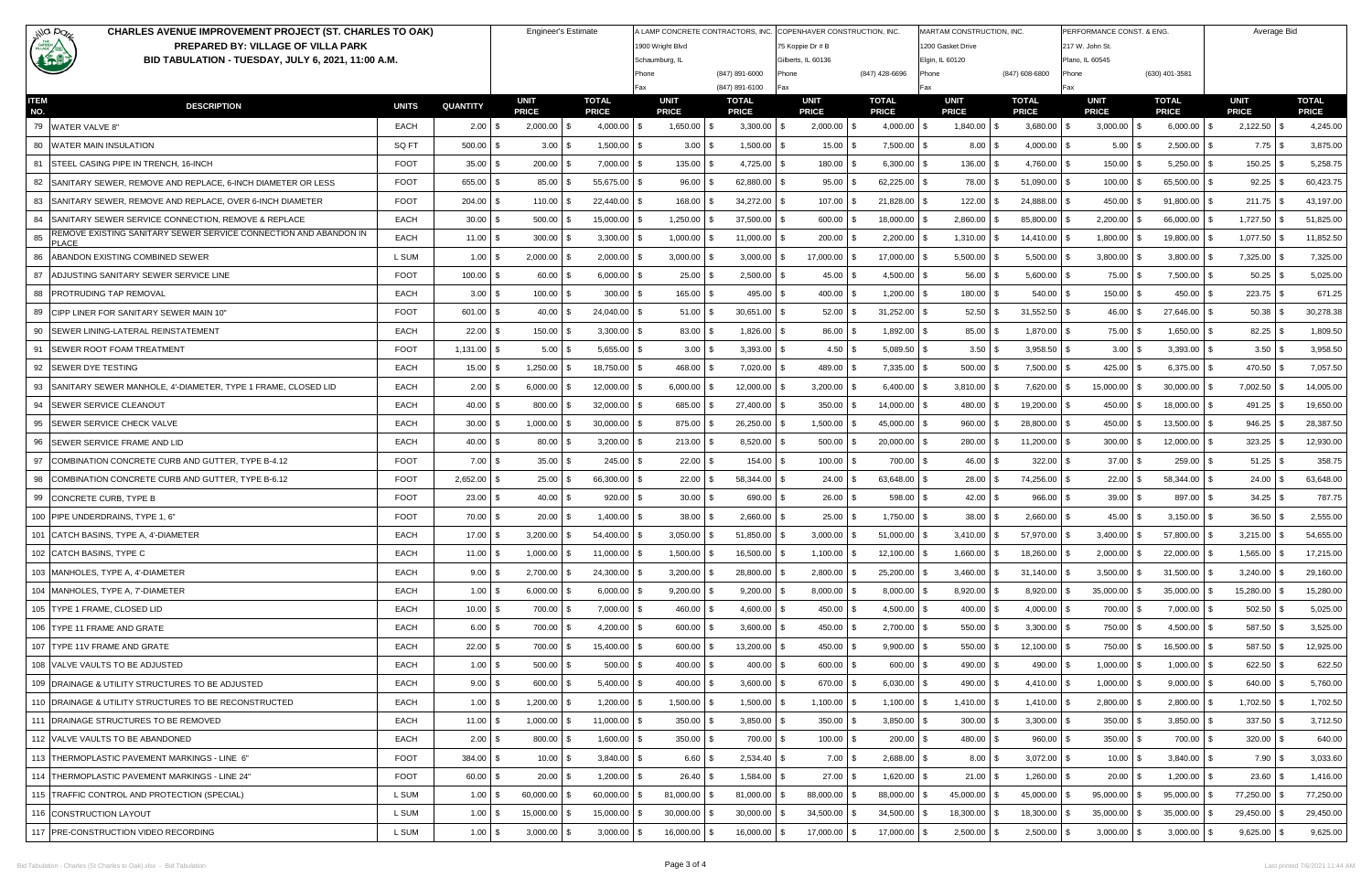| illa paz                                                                                                  | <b>CHARLES AVENUE IMPROVEMENT PROJECT (ST. CHARLES TO OAK)</b><br><b>Engineer's Estimate</b> |              |                 |                             |                              |                             |                              | A LAMP CONCRETE CONTRACTORS, INC. COPENHAVER CONSTRUCTION, INC. |                              | MARTAM CONSTRUCTION, INC.       | PERFORMANCE CONST. & ENG     | Average Bid                 |                              |                             |                              |
|-----------------------------------------------------------------------------------------------------------|----------------------------------------------------------------------------------------------|--------------|-----------------|-----------------------------|------------------------------|-----------------------------|------------------------------|-----------------------------------------------------------------|------------------------------|---------------------------------|------------------------------|-----------------------------|------------------------------|-----------------------------|------------------------------|
| <b>CARDEN</b><br>PREPARED BY: VILLAGE OF VILLA PARK<br>BID TABULATION - TUESDAY, JULY 6, 2021, 11:00 A.M. |                                                                                              |              |                 |                             |                              | 1900 Wright Blvd            |                              | 75 Koppie Dr # B                                                |                              | 200 Gasket Drive                |                              | 217 W. John St.             |                              |                             |                              |
|                                                                                                           |                                                                                              |              |                 |                             |                              | Schaumburg, IL<br>Phone     | (847) 891-6000               | Gilberts, IL 60136<br>Phone                                     | (847) 428-6696               | Elgin, IL 60120<br>Phone        | (847) 608-6800               | Plano, IL 60545<br>Phone    | (630) 401-3581               |                             |                              |
|                                                                                                           |                                                                                              |              |                 |                             |                              | Fax                         | (847) 891-6100               | Fax                                                             |                              | Fax                             | Fax                          |                             |                              |                             |                              |
| <b>ITEM</b><br>NO.                                                                                        | <b>DESCRIPTION</b>                                                                           | <b>UNITS</b> | <b>QUANTITY</b> | <b>UNIT</b><br><b>PRICE</b> | <b>TOTAL</b><br><b>PRICE</b> | <b>UNIT</b><br><b>PRICE</b> | <b>TOTAL</b><br><b>PRICE</b> | UNIT<br><b>PRICE</b>                                            | <b>TOTAL</b><br><b>PRICE</b> | <b>UNIT</b><br><b>PRICE</b>     | <b>TOTAL</b><br><b>PRICE</b> | <b>UNIT</b><br><b>PRICE</b> | <b>TOTAL</b><br><b>PRICE</b> | <b>UNIT</b><br><b>PRICE</b> | <b>TOTAL</b><br><b>PRICE</b> |
| 79 WATER VALVE 8"                                                                                         |                                                                                              | EACH         | $2.00$ \$       | $2,000.00$ \$               | $4,000.00$ \$                | $1,650.00$ \$               | $3,300.00$ \$                | $2,000.00$ \$                                                   | 4,000.00                     | $\mathfrak{s}$<br>$1,840.00$ \$ | 3,680.00<br>- \$             | 3,000.00<br>-\$             | 6,000.00                     | 2,122.50                    | 4,245.00<br>l \$             |
|                                                                                                           | 80 WATER MAIN INSULATION                                                                     | SQ FT        | 500.00          | 3.00                        | 1,500.00                     |                             | $1,500.00$ \ \$              | 15.00                                                           | 7,500.00                     | $8.00$ \$                       | 4,000.00<br>- \$             | 5.00<br>l \$                | 2,500.00                     | $7.75$ \\$                  | 3,875.00                     |
|                                                                                                           | 81 ISTEEL CASING PIPE IN TRENCH, 16-INCH                                                     | <b>FOOT</b>  | 35.00           | 200.00                      | 7,000.00                     | 135.00                      | $4,725.00$ \\$               | 180.00                                                          | 6,300.00                     | $136.00$ \$<br>-SS              | 4,760.00                     | 150.00                      | 5,250.00                     | 150.25                      | 5,258.75                     |
|                                                                                                           | 82 SANITARY SEWER, REMOVE AND REPLACE, 6-INCH DIAMETER OR LESS                               | <b>FOOT</b>  | 655.00          | 85.00                       | 55,675.00                    | 96.00                       | 62,880.00 \$                 | 95.00                                                           | 62,225.00                    | 78.00                           | 51,090.00                    | 100.00                      | 65,500.00                    | 92.25                       | 60,423.75                    |
|                                                                                                           | 83 SANITARY SEWER, REMOVE AND REPLACE, OVER 6-INCH DIAMETER                                  | <b>FOOT</b>  | $204.00$ \ \;   | 110.00                      | 22,440.00 \$                 | 168.00                      | $34,272.00$ \$               | 107.00                                                          | 21,828.00                    | 122.00                          | 24,888.00<br>- \$            | 450.00                      | 91,800.00                    | 211.75                      | 43,197.00                    |
|                                                                                                           | 84 SANITARY SEWER SERVICE CONNECTION, REMOVE & REPLACE                                       | EACH         | 30.00           | 500.00                      | 15,000.00                    | 1,250.00                    | $37,500.00$ \$               | 600.00                                                          | 18,000.00                    | 2,860.00                        | 85,800.00                    | 2,200.00                    | 66,000.00                    | 1,727.50                    | 51,825.00                    |
| 85<br><b>PLACE</b>                                                                                        | REMOVE EXISTING SANITARY SEWER SERVICE CONNECTION AND ABANDON IN                             | EACH         | 11.00           | 300.00                      | 3,300.00                     | 1,000.00                    | $11,000.00$ \ \$             | 200.00                                                          | 2,200.00                     | 1,310.00                        | 14,410.00                    | 1,800.00<br>- \$            | 19,800.00                    | 1,077.50                    | 11,852.50                    |
| 86                                                                                                        | ABANDON EXISTING COMBINED SEWER                                                              | L SUM        | 1.00            | 2,000.00                    | 2,000.00                     | 3,000.00                    | $3,000.00$ \$                | 17,000.00                                                       | 17,000.00                    | 5,500.00                        | 5,500.00                     | 3,800.00                    | 3,800.00                     | 7,325.00                    | 7,325.00                     |
| 87                                                                                                        | ADJUSTING SANITARY SEWER SERVICE LINE                                                        | <b>FOOT</b>  | $100.00$ \ \$   | 60.00                       | 6,000.00                     | 25.00                       | $2,500.00$ \ \$              | 45.00                                                           | 4,500.00                     | 56.00<br>\$                     | $5,600.00$ \ \$              | 75.00 \$                    | 7,500.00                     | 50.25                       | 5,025.00                     |
|                                                                                                           | 88 PROTRUDING TAP REMOVAL                                                                    | EACH         | 3.00            | 100.00                      | 300.00                       | 165.00                      | $495.00$ \ \$                | 400.00                                                          | 1,200.00                     | $180.00$ \$<br>\$.              | 540.00<br>- \$               | 150.00<br><b>S</b>          | 450.00                       | $223.75$ \$                 | 671.25                       |
|                                                                                                           | 89 CIPP LINER FOR SANITARY SEWER MAIN 10"                                                    | <b>FOOT</b>  | $601.00$ \ \$   | 40.00                       | 24,040.00                    | 51.00                       | $30,651.00$ \$               | 52.00                                                           | 31,252.00                    | 52.50<br>\$.                    | $31,552.50$ \$               | 46.00<br><b>S</b>           | 27,646.00                    | 50.38                       | 30,278.38                    |
| 90                                                                                                        | <b>ISEWER LINING-LATERAL REINSTATEMENT</b>                                                   | EACH         | 22.00           | 150.00                      | 3,300.00                     | 83.00                       | 1,826.00 \$                  | 86.00                                                           | 1,892.00                     | $85.00$ \$<br>\$.               | $1,870.00$ \$                | 75.00                       | 1,650.00                     | 82.25                       | 1,809.50                     |
|                                                                                                           | 91 ISEWER ROOT FOAM TREATMENT                                                                | <b>FOOT</b>  | $1,131.00$ \ \$ | 5.00                        | $5,655.00$ \\$               |                             | $3,393.00$ \ \$              | 4.50                                                            | 5,089.50                     | $3.50$ \$<br>\$.                | $3,958.50$ \$                |                             | $3,393.00$ \$                | $3.50$ \$                   | 3,958.50                     |
|                                                                                                           | 92 SEWER DYE TESTING                                                                         | EACH         | 15.00           | 1,250.00                    | 18,750.00                    | 468.00                      | $7,020.00$ \$                | 489.00                                                          | 7,335.00                     | $500.00$ \$<br>\$.              | 7,500.00                     | 425.00                      | 6,375.00                     | 470.50 \$                   | 7,057.50                     |
|                                                                                                           | 93 SANITARY SEWER MANHOLE, 4'-DIAMETER, TYPE 1 FRAME, CLOSED LID                             | EACH         | 2.00            | 6,000.00                    | 12,000.00                    | 6,000.00                    | $12,000.00$ \$               | 3,200.00                                                        | 6,400.00                     | 3,810.00                        | 7,620.00<br>- \$             | 15,000.00<br>-\$            | 30,000.00                    | 7,002.50                    | 14,005.00                    |
|                                                                                                           | 94 SEWER SERVICE CLEANOUT                                                                    | EACH         | 40.00 \$        | 800.00                      | 32,000.00                    | 685.00                      | 27,400.00 \$                 | 350.00                                                          | 14,000.00                    | 480.00                          | 19,200.00                    | 450.00                      | 18,000.00                    | 491.25                      | 19,650.00                    |
|                                                                                                           | 95   SEWER SERVICE CHECK VALVE                                                               | EACH         | $30.00$ \$      | 1,000.00                    | 30,000.00                    | 875.00                      | $26,250.00$ \$               | 1,500.00                                                        | 45,000.00                    | 960.00                          | 28,800.00                    | 450.00<br>-\$               | 13,500.00                    | 946.25                      | 28,387.50                    |
|                                                                                                           | 96   SEWER SERVICE FRAME AND LID                                                             | EACH         | $40.00$ \ \;    | 80.00                       | 3,200.00                     | 213.00                      | 8,520.00 \$                  | 500.00                                                          | 20,000.00                    | 280.00<br>\$.                   | 11,200.00                    | 300.00<br>- \$              | 12,000.00                    | 323.25                      | 12,930.00                    |
|                                                                                                           | 97 COMBINATION CONCRETE CURB AND GUTTER, TYPE B-4.12                                         | <b>FOOT</b>  | 7.00            | 35.00                       | 245.00                       | 22.00                       | $154.00$ \$                  | 100.00                                                          | 700.00                       | $46.00$ \$<br>-SS               | 322.00<br>- \$               | $37.00$ \ \$                | 259.00                       | 51.25                       | 358.75                       |
|                                                                                                           | 98 COMBINATION CONCRETE CURB AND GUTTER, TYPE B-6.12                                         | <b>FOOT</b>  | 2,652.00        | 25.00                       | 66,300.00                    | 22.00                       | 58,344.00 \$                 | 24.00                                                           | 63,648.00                    | 28.00                           | 74,256.00                    | 22.00                       | 58,344.00                    | 24.00                       | 63,648.00                    |
|                                                                                                           | 99 CONCRETE CURB, TYPE B                                                                     | <b>FOOT</b>  | $23.00$ \$      | 40.00                       | 920.00                       | $30.00$ \ \$                | $690.00$ \$                  | 26.00                                                           | 598.00                       | $42.00$ \$<br>\$                | $966.00$ \$                  | $39.00$ \$                  | 897.00                       | 34.25                       | 787.75                       |
|                                                                                                           | 100 PIPE UNDERDRAINS, TYPE 1, 6"                                                             | <b>FOOT</b>  | $70.00$ \ \$    | 20.00                       | $1,400.00$ \\$               | $38.00$ \ \$                | $2,660.00$ \$                | 25.00                                                           | 1,750.00                     | $38.00$ \$<br>\$.               | 2,660.00                     | 45.00                       | 3,150.00                     | $36.50$ \$                  | 2,555.00                     |
|                                                                                                           | 101 CATCH BASINS, TYPE A, 4'-DIAMETER                                                        | EACH         | $17.00$ \$      | $3,200.00$ \$               | $54,400.00$ \$               | 3,050.00                    | $51,850.00$ \$<br>l Si       | 3,000.00                                                        | 51,000.00<br>l \$            | $3,410.00$ \ \$<br>-\$          | 57,970.00 \$                 | $3,400.00$ \$               | 57,800.00 \$                 | $3,215.00$ \$               | 54,655.00                    |
|                                                                                                           | 102 CATCH BASINS, TYPE C                                                                     | EACH         | $11.00$ \ \;    | 1,000.00                    | $11,000.00$ :                | 1,500.00                    | 16,500.00 \$                 | 1,100.00                                                        | 12,100.00                    | 1,660.00<br>\$                  | 18,260.00<br>- \$            | 2,000.00<br>- \$            | 22,000.00                    | 1,565.00                    | 17,215.00                    |
|                                                                                                           | 103 MANHOLES, TYPE A. 4'-DIAMETER                                                            | EACH         | 9.00            | 2,700.00                    | 24,300.00                    | 3,200.00                    | 28,800.00 \$                 | 2,800.00                                                        | 25,200.00<br>- \$            | $3,460.00$ \$                   | $31,140.00$ \$               | $3,500.00$ \$               | 31,500.00                    | 3,240.00                    | 29,160.00                    |
|                                                                                                           | 104 MANHOLES, TYPE A, 7'-DIAMETER                                                            | EACH         | $1.00$ \$       | 6,000.00                    | $6,000.00$ \ \$              | $9,200.00$ \$               | $9,200.00$ \$                | 8,000.00                                                        | 8,000.00<br>l SS             | 8,920.00 \$<br>-S               | $8,920.00$ \ \$              | 35,000.00<br>∣\$            | 35,000.00                    | 15,280.00                   | 15,280.00                    |
|                                                                                                           | 105 TYPE 1 FRAME, CLOSED LID                                                                 | EACH         | $10.00$ \$      | 700.00                      | $7,000.00$ \ \$              | 460.00                      | $4,600.00$ \$                | 450.00                                                          | 4,500.00<br>l SS             | $400.00$ \ \$                   | $4,000.00$ \ \$              | 700.00 \$                   | 7,000.00                     | 502.50                      | 5,025.00                     |
|                                                                                                           | 106 TYPE 11 FRAME AND GRATE                                                                  | EACH         | 6.00%           | $700.00$ \ \$               |                              | $600.00$ \ \$               | $3,600.00$ \$                | 450.00                                                          | 2,700.00<br>IS.              | $550.00$ \ \$<br>\$             | $3,300.00$ \ \$              | 750.00 \$                   | 4,500.00                     | 587.50                      | 3,525.00                     |
|                                                                                                           | 107 TYPE 11V FRAME AND GRATE                                                                 | EACH         | 22.00           | 700.00                      | 15,400.00 \$                 | 600.00                      | 13,200.00 \$                 | 450.00                                                          | 9,900.00<br>l \$             | $550.00$ \ \$<br>\$.            | $12,100.00$ \$               | 750.00<br><b>\$</b>         | 16,500.00                    | 587.50                      | 12,925.00                    |
|                                                                                                           | 108 VALVE VAULTS TO BE ADJUSTED                                                              | EACH         | $1.00$ \ \$     | $500.00$ \ \$               | $500.00$ \ \$                | $400.00$ \ \$               | $400.00$ \$                  | 600.00 \$                                                       | 600.00                       | $490.00$ \ \$<br>-\$            | 490.00 \$                    | $1,000.00$ \$               | 1,000.00                     | $622.50$ \\$                | 622.50                       |
|                                                                                                           | 109   DRAINAGE & UTILITY STRUCTURES TO BE ADJUSTED                                           | EACH         | $9.00$ \ \$     | 600.00                      | $5,400.00$ \\$               | $400.00$ \ \$               | $3,600.00$ \$                | 670.00 \$                                                       | 6,030.00                     | $490.00$ \ \$<br>\$.            | $4,410.00$ \ \$              | 1,000.00<br><b>S</b>        | 9,000.00                     | $640.00$ \$                 | 5,760.00                     |
|                                                                                                           | 110 DRAINAGE & UTILITY STRUCTURES TO BE RECONSTRUCTED                                        | EACH         | $1.00$ \ \;     | 1,200.00                    | 1,200.00                     | 1,500.00                    | $1,500.00$ \ \$              | 1,100.00                                                        | 1,100.00                     | $1,410.00$ \$<br>\$             | $1,410.00$ \ \$              | 2,800.00<br>l \$            | 2,800.00                     | 1,702.50                    | 1,702.50                     |
|                                                                                                           | 111 DRAINAGE STRUCTURES TO BE REMOVED                                                        | EACH         | $11.00$ \$      | 1,000.00                    | $11,000.00$ \ \$             | $350.00$ \$                 | $3,850.00$ \$                | $350.00$ \$                                                     | 3,850.00                     | $300.00$ \$<br>-\$              | $3,300.00$ \ \$              | $350.00$ \ \$               | $3,850.00$ \\$               | $337.50$ \$                 | 3,712.50                     |
|                                                                                                           | 112 VALVE VAULTS TO BE ABANDONED                                                             | EACH         |                 | $800.00$ \ \$               | $1,600.00$ \ \$              | $350.00$ \\$                | 700.00 \$                    | $100.00$ \$                                                     | 200.00                       | $480.00$ \$<br>-\$              | $960.00$ \$                  | $350.00$ \ \$               | $700.00$ \ \$                | $320.00$ \ \$               | 640.00                       |
|                                                                                                           | 113 THERMOPLASTIC PAVEMENT MARKINGS - LINE 6"                                                | <b>FOOT</b>  | 384.00 \$       | $10.00$ \$                  | $3,840.00$ \$                | $6.60$ \ \$                 | $2,534.40$ \$                | $7.00$ \$                                                       | $2,688.00$ \$                | $8.00$ \$                       | $3,072.00$ \$                | $10.00$ \$                  | $3,840.00$ \$                | $7.90$ \$                   | 3,033.60                     |
|                                                                                                           | 114   THERMOPLASTIC PAVEMENT MARKINGS - LINE 24"                                             | <b>FOOT</b>  | 60.00 \$        | $20.00$ \$                  | $1,200.00$ \ \$              | $26.40$ \ \ \$              | $1,584.00$ \ \$              | $27.00$ \$                                                      | 1,620.00                     | $21.00$ \ \$<br>\$              |                              | $20.00$ \$                  | 1,200.00                     | IS.                         | 1,416.00                     |
|                                                                                                           | 115 TRAFFIC CONTROL AND PROTECTION (SPECIAL)                                                 | L SUM        | 1.00            | 60,000.00                   | 60,000.00                    | 81,000.00                   | 81,000.00 \$                 | 88,000.00                                                       | 88,000.00                    | 45,000.00                       | 45,000.00                    | 95,000.00                   | 95,000.00                    | 77,250.00                   | 77,250.00                    |
|                                                                                                           | 116 CONSTRUCTION LAYOUT                                                                      | L SUM        | $1.00$ \$       | 15,000.00                   | $15,000.00$   \;             | $30,000.00$ \$              | $30,000.00$ \$               | 34,500.00                                                       | 34,500.00<br>IS.             | 18,300.00 \$<br>\$.             | 18,300.00 \$                 | $35,000.00$ \$              | 35,000.00                    | 29,450.00                   | 29,450.00                    |
|                                                                                                           | 117   PRE-CONSTRUCTION VIDEO RECORDING                                                       | L SUM        | $1.00$ \$       | $3,000.00$ \$               | $3,000.00$ \$                | $16,000.00$ \$              | $16,000.00$ \$               | 17,000.00 \$                                                    | 17,000.00 \$                 | $2,500.00$ \$                   | $2,500.00$ \$                | $3,000.00$ \$               | $3,000.00$ \$                | $9,625.00$ \$               | 9,625.00                     |